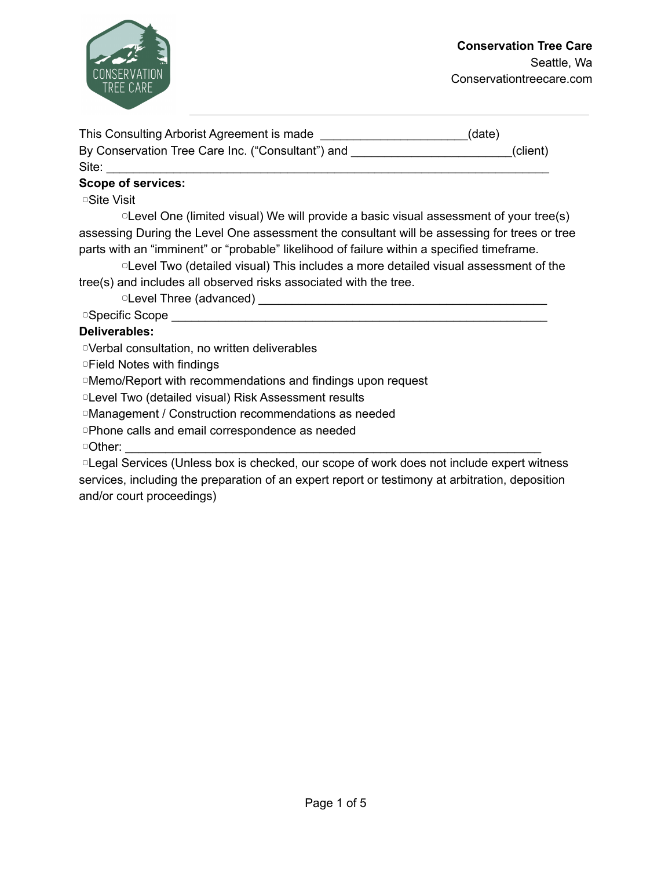

| This Consulting Arborist Agreement is made        | (date)   |
|---------------------------------------------------|----------|
| By Conservation Tree Care Inc. ("Consultant") and | (client) |
| Site:                                             |          |

### **Scope of services:**

▢Site Visit

▢Level One (limited visual) We will provide a basic visual assessment of your tree(s) assessing During the Level One assessment the consultant will be assessing for trees or tree parts with an "imminent" or "probable" likelihood of failure within a specified timeframe.

▢Level Two (detailed visual) This includes a more detailed visual assessment of the tree(s) and includes all observed risks associated with the tree.

▢Level Three (advanced) \_\_\_\_\_\_\_\_\_\_\_\_\_\_\_\_\_\_\_\_\_\_\_\_\_\_\_\_\_\_\_\_\_\_\_\_\_\_\_\_\_\_\_

 $\Box$ Specific Scope

## **Deliverables:**

▢Verbal consultation, no written deliverables

▢Field Notes with findings

▢Memo/Report with recommendations and findings upon request

▢Level Two (detailed visual) Risk Assessment results

▢Management / Construction recommendations as needed

▢Phone calls and email correspondence as needed

▢Other: \_\_\_\_\_\_\_\_\_\_\_\_\_\_\_\_\_\_\_\_\_\_\_\_\_\_\_\_\_\_\_\_\_\_\_\_\_\_\_\_\_\_\_\_\_\_\_\_\_\_\_\_\_\_\_\_\_\_\_\_\_\_

▢Legal Services (Unless box is checked, our scope of work does not include expert witness services, including the preparation of an expert report or testimony at arbitration, deposition and/or court proceedings)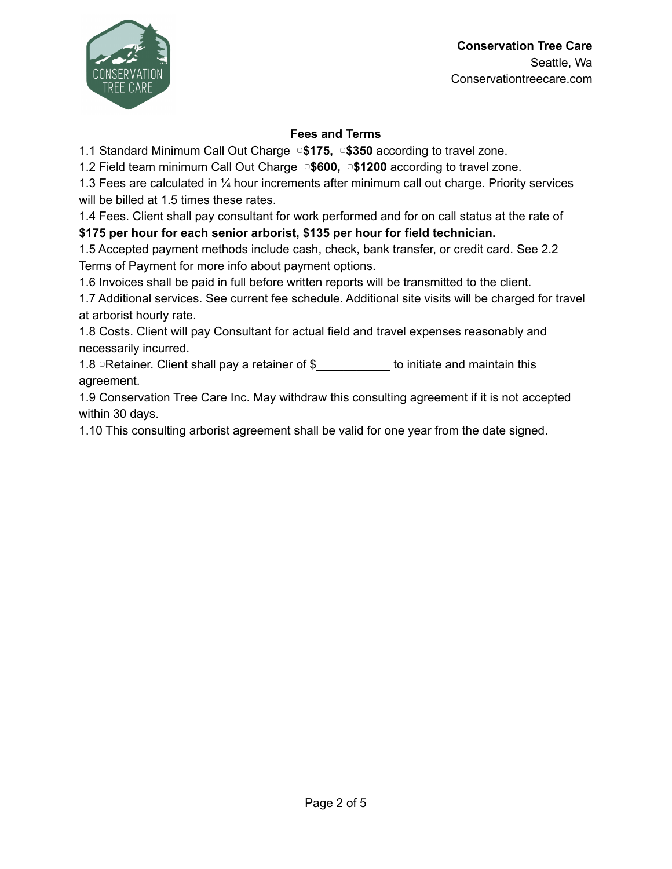

# **Fees and Terms**

1.1 Standard Minimum Call Out Charge ▢**\$175,** ▢**\$350** according to travel zone.

1.2 Field team minimum Call Out Charge ▢**\$600,** ▢**\$1200** according to travel zone.

1.3 Fees are calculated in ¼ hour increments after minimum call out charge. Priority services will be billed at 1.5 times these rates.

1.4 Fees. Client shall pay consultant for work performed and for on call status at the rate of **\$175 per hour for each senior arborist, \$135 per hour for field technician.**

1.5 Accepted payment methods include cash, check, bank transfer, or credit card. See 2.2 Terms of Payment for more info about payment options.

1.6 Invoices shall be paid in full before written reports will be transmitted to the client.

1.7 Additional services. See current fee schedule. Additional site visits will be charged for travel at arborist hourly rate.

1.8 Costs. Client will pay Consultant for actual field and travel expenses reasonably and necessarily incurred.

1.8  $\circ$ Retainer. Client shall pay a retainer of \$\_\_\_\_\_\_\_\_\_\_\_\_ to initiate and maintain this agreement.

1.9 Conservation Tree Care Inc. May withdraw this consulting agreement if it is not accepted within 30 days.

1.10 This consulting arborist agreement shall be valid for one year from the date signed.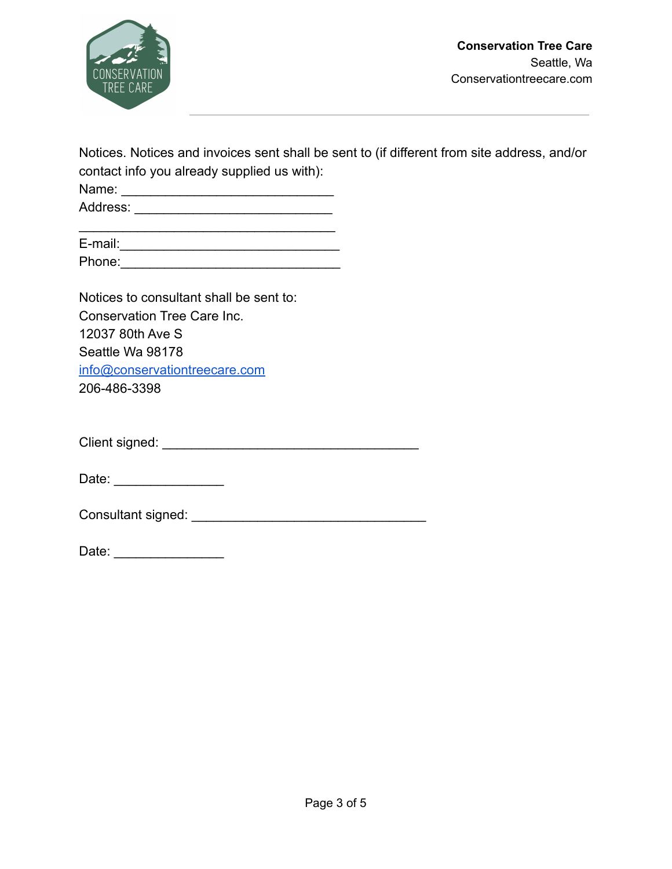

Notices. Notices and invoices sent shall be sent to (if different from site address, and/or contact info you already supplied us with):

Name: \_\_\_\_\_\_\_\_\_\_\_\_\_\_\_\_\_\_\_\_\_\_\_\_\_\_\_\_\_ Address: \_\_\_\_\_\_\_\_\_\_\_\_\_\_\_\_\_\_\_\_\_\_\_\_\_\_\_

| E-mail: |  |  |  |
|---------|--|--|--|
| Phone:  |  |  |  |

Notices to consultant shall be sent to: Conservation Tree Care Inc. 12037 80th Ave S Seattle Wa 98178 [info@conservationtreecare.com](mailto:info@conservationtreecare.com) 206-486-3398

Client signed: \_\_\_\_\_\_\_\_\_\_\_\_\_\_\_\_\_\_\_\_\_\_\_\_\_\_\_\_\_\_\_\_\_\_\_

Date: \_\_\_\_\_\_\_\_\_\_\_\_\_\_\_

Consultant signed: \_\_\_\_\_\_\_\_\_\_\_\_\_\_\_\_\_\_\_\_\_\_\_\_\_\_\_\_\_\_\_\_

Date:  $\Box$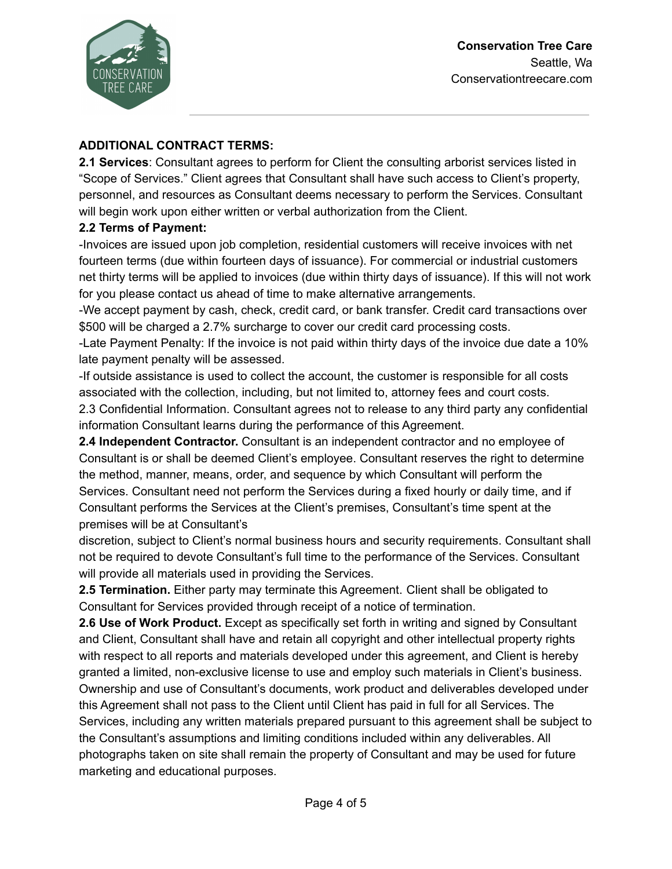

# **ADDITIONAL CONTRACT TERMS:**

**2.1 Services**: Consultant agrees to perform for Client the consulting arborist services listed in "Scope of Services." Client agrees that Consultant shall have such access to Client's property, personnel, and resources as Consultant deems necessary to perform the Services. Consultant will begin work upon either written or verbal authorization from the Client.

### **2.2 Terms of Payment:**

-Invoices are issued upon job completion, residential customers will receive invoices with net fourteen terms (due within fourteen days of issuance). For commercial or industrial customers net thirty terms will be applied to invoices (due within thirty days of issuance). If this will not work for you please contact us ahead of time to make alternative arrangements.

-We accept payment by cash, check, credit card, or bank transfer. Credit card transactions over \$500 will be charged a 2.7% surcharge to cover our credit card processing costs.

-Late Payment Penalty: If the invoice is not paid within thirty days of the invoice due date a 10% late payment penalty will be assessed.

-If outside assistance is used to collect the account, the customer is responsible for all costs associated with the collection, including, but not limited to, attorney fees and court costs.

2.3 Confidential Information. Consultant agrees not to release to any third party any confidential information Consultant learns during the performance of this Agreement.

**2.4 Independent Contractor.** Consultant is an independent contractor and no employee of Consultant is or shall be deemed Client's employee. Consultant reserves the right to determine the method, manner, means, order, and sequence by which Consultant will perform the Services. Consultant need not perform the Services during a fixed hourly or daily time, and if Consultant performs the Services at the Client's premises, Consultant's time spent at the premises will be at Consultant's

discretion, subject to Client's normal business hours and security requirements. Consultant shall not be required to devote Consultant's full time to the performance of the Services. Consultant will provide all materials used in providing the Services.

**2.5 Termination.** Either party may terminate this Agreement. Client shall be obligated to Consultant for Services provided through receipt of a notice of termination.

**2.6 Use of Work Product.** Except as specifically set forth in writing and signed by Consultant and Client, Consultant shall have and retain all copyright and other intellectual property rights with respect to all reports and materials developed under this agreement, and Client is hereby granted a limited, non-exclusive license to use and employ such materials in Client's business. Ownership and use of Consultant's documents, work product and deliverables developed under this Agreement shall not pass to the Client until Client has paid in full for all Services. The Services, including any written materials prepared pursuant to this agreement shall be subject to the Consultant's assumptions and limiting conditions included within any deliverables. All photographs taken on site shall remain the property of Consultant and may be used for future marketing and educational purposes.